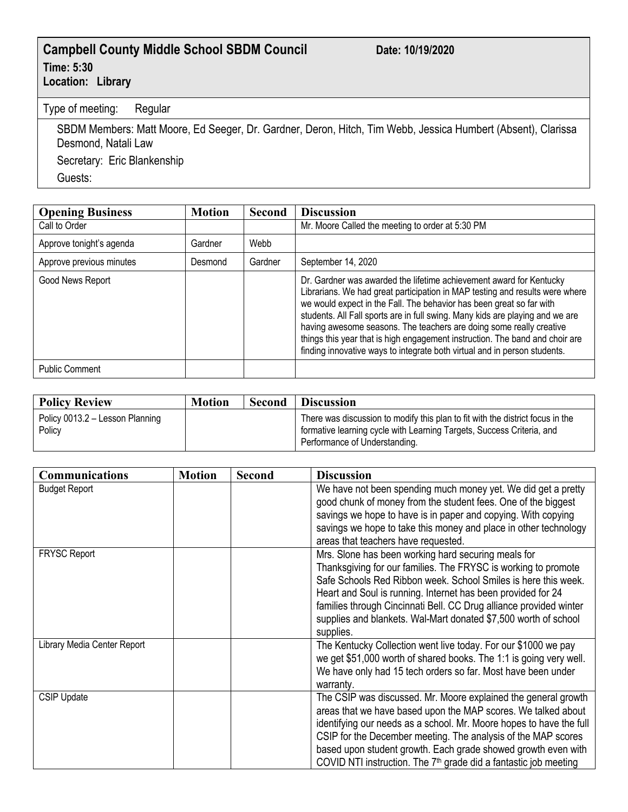## **Campbell County Middle School SBDM Council Date: 10/19/2020 Time: 5:30 Location: Library**

Type of meeting: Regular

SBDM Members: Matt Moore, Ed Seeger, Dr. Gardner, Deron, Hitch, Tim Webb, Jessica Humbert (Absent), Clarissa Desmond, Natali Law

Secretary: Eric Blankenship

Guests:

| <b>Opening Business</b>  | <b>Motion</b> | <b>Second</b> | <b>Discussion</b>                                                                                                                                                                                                                                                                                                                                                                                                                                                                                                                                |
|--------------------------|---------------|---------------|--------------------------------------------------------------------------------------------------------------------------------------------------------------------------------------------------------------------------------------------------------------------------------------------------------------------------------------------------------------------------------------------------------------------------------------------------------------------------------------------------------------------------------------------------|
| Call to Order            |               |               | Mr. Moore Called the meeting to order at 5:30 PM                                                                                                                                                                                                                                                                                                                                                                                                                                                                                                 |
| Approve tonight's agenda | Gardner       | Webb          |                                                                                                                                                                                                                                                                                                                                                                                                                                                                                                                                                  |
| Approve previous minutes | Desmond       | Gardner       | September 14, 2020                                                                                                                                                                                                                                                                                                                                                                                                                                                                                                                               |
| Good News Report         |               |               | Dr. Gardner was awarded the lifetime achievement award for Kentucky<br>Librarians. We had great participation in MAP testing and results were where<br>we would expect in the Fall. The behavior has been great so far with<br>students. All Fall sports are in full swing. Many kids are playing and we are<br>having awesome seasons. The teachers are doing some really creative<br>things this year that is high engagement instruction. The band and choir are<br>finding innovative ways to integrate both virtual and in person students. |
| <b>Public Comment</b>    |               |               |                                                                                                                                                                                                                                                                                                                                                                                                                                                                                                                                                  |

| <b>Policy Review</b>                      | <b>Motion</b> | <b>Second</b> | <b>Discussion</b>                                                                                                                                                                        |
|-------------------------------------------|---------------|---------------|------------------------------------------------------------------------------------------------------------------------------------------------------------------------------------------|
| Policy 0013.2 - Lesson Planning<br>Policy |               |               | There was discussion to modify this plan to fit with the district focus in the<br>formative learning cycle with Learning Targets, Success Criteria, and<br>Performance of Understanding. |

| <b>Communications</b>       | <b>Motion</b> | <b>Second</b> | <b>Discussion</b>                                                                                                                                                                                                                                                                                                                                                                                              |
|-----------------------------|---------------|---------------|----------------------------------------------------------------------------------------------------------------------------------------------------------------------------------------------------------------------------------------------------------------------------------------------------------------------------------------------------------------------------------------------------------------|
| <b>Budget Report</b>        |               |               | We have not been spending much money yet. We did get a pretty<br>good chunk of money from the student fees. One of the biggest<br>savings we hope to have is in paper and copying. With copying<br>savings we hope to take this money and place in other technology<br>areas that teachers have requested.                                                                                                     |
| <b>FRYSC Report</b>         |               |               | Mrs. Slone has been working hard securing meals for<br>Thanksgiving for our families. The FRYSC is working to promote<br>Safe Schools Red Ribbon week. School Smiles is here this week.<br>Heart and Soul is running. Internet has been provided for 24<br>families through Cincinnati Bell. CC Drug alliance provided winter<br>supplies and blankets. Wal-Mart donated \$7,500 worth of school<br>supplies.  |
| Library Media Center Report |               |               | The Kentucky Collection went live today. For our \$1000 we pay<br>we get \$51,000 worth of shared books. The 1:1 is going very well.<br>We have only had 15 tech orders so far. Most have been under<br>warranty.                                                                                                                                                                                              |
| <b>CSIP Update</b>          |               |               | The CSIP was discussed. Mr. Moore explained the general growth<br>areas that we have based upon the MAP scores. We talked about<br>identifying our needs as a school. Mr. Moore hopes to have the full<br>CSIP for the December meeting. The analysis of the MAP scores<br>based upon student growth. Each grade showed growth even with<br>COVID NTI instruction. The $7th$ grade did a fantastic job meeting |